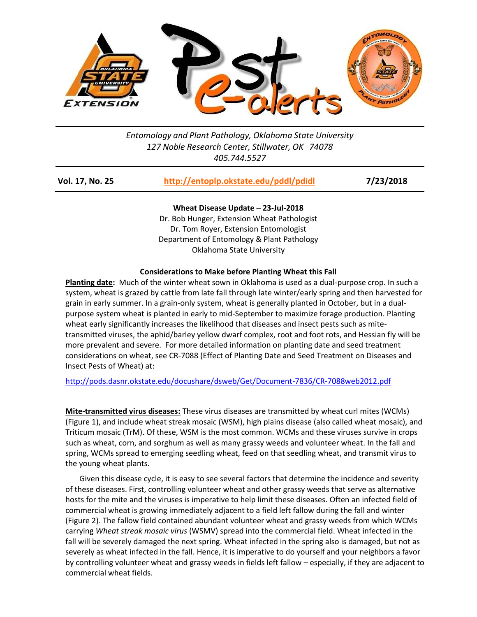

*Entomology and Plant Pathology, Oklahoma State University 127 Noble Research Center, Stillwater, OK 74078 405.744.5527*

| http://entoplp.okstate.edu/pddl/pdidl<br><b>Vol. 17, No. 25</b> | 7/23/2018 |
|-----------------------------------------------------------------|-----------|
|-----------------------------------------------------------------|-----------|

**Wheat Disease Update – 23-Jul-2018** Dr. Bob Hunger, Extension Wheat Pathologist Dr. Tom Royer, Extension Entomologist Department of Entomology & Plant Pathology Oklahoma State University

## **Considerations to Make before Planting Wheat this Fall**

**Planting date:** Much of the winter wheat sown in Oklahoma is used as a dual-purpose crop. In such a system, wheat is grazed by cattle from late fall through late winter/early spring and then harvested for grain in early summer. In a grain-only system, wheat is generally planted in October, but in a dualpurpose system wheat is planted in early to mid-September to maximize forage production. Planting wheat early significantly increases the likelihood that diseases and insect pests such as mitetransmitted viruses, the aphid/barley yellow dwarf complex, root and foot rots, and Hessian fly will be more prevalent and severe. For more detailed information on planting date and seed treatment considerations on wheat, see CR-7088 (Effect of Planting Date and Seed Treatment on Diseases and Insect Pests of Wheat) at:

<http://pods.dasnr.okstate.edu/docushare/dsweb/Get/Document-7836/CR-7088web2012.pdf>

**Mite-transmitted virus diseases:** These virus diseases are transmitted by wheat curl mites (WCMs) (Figure 1), and include wheat streak mosaic (WSM), high plains disease (also called wheat mosaic), and Triticum mosaic (TrM). Of these, WSM is the most common. WCMs and these viruses survive in crops such as wheat, corn, and sorghum as well as many grassy weeds and volunteer wheat. In the fall and spring, WCMs spread to emerging seedling wheat, feed on that seedling wheat, and transmit virus to the young wheat plants.

Given this disease cycle, it is easy to see several factors that determine the incidence and severity of these diseases. First, controlling volunteer wheat and other grassy weeds that serve as alternative hosts for the mite and the viruses is imperative to help limit these diseases. Often an infected field of commercial wheat is growing immediately adjacent to a field left fallow during the fall and winter (Figure 2). The fallow field contained abundant volunteer wheat and grassy weeds from which WCMs carrying *Wheat streak mosaic virus* (WSMV) spread into the commercial field. Wheat infected in the fall will be severely damaged the next spring. Wheat infected in the spring also is damaged, but not as severely as wheat infected in the fall. Hence, it is imperative to do yourself and your neighbors a favor by controlling volunteer wheat and grassy weeds in fields left fallow – especially, if they are adjacent to commercial wheat fields.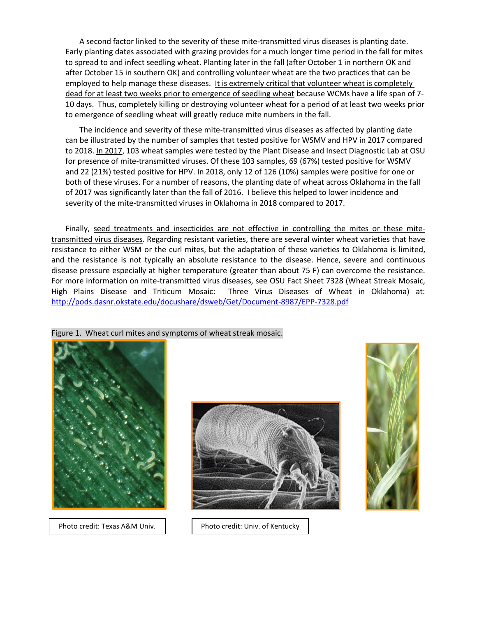A second factor linked to the severity of these mite-transmitted virus diseases is planting date. Early planting dates associated with grazing provides for a much longer time period in the fall for mites to spread to and infect seedling wheat. Planting later in the fall (after October 1 in northern OK and after October 15 in southern OK) and controlling volunteer wheat are the two practices that can be employed to help manage these diseases. It is extremely critical that volunteer wheat is completely dead for at least two weeks prior to emergence of seedling wheat because WCMs have a life span of 7- 10 days. Thus, completely killing or destroying volunteer wheat for a period of at least two weeks prior to emergence of seedling wheat will greatly reduce mite numbers in the fall.

The incidence and severity of these mite-transmitted virus diseases as affected by planting date can be illustrated by the number of samples that tested positive for WSMV and HPV in 2017 compared to 2018. In 2017, 103 wheat samples were tested by the Plant Disease and Insect Diagnostic Lab at OSU for presence of mite-transmitted viruses. Of these 103 samples, 69 (67%) tested positive for WSMV and 22 (21%) tested positive for HPV. In 2018, only 12 of 126 (10%) samples were positive for one or both of these viruses. For a number of reasons, the planting date of wheat across Oklahoma in the fall of 2017 was significantly later than the fall of 2016. I believe this helped to lower incidence and severity of the mite-transmitted viruses in Oklahoma in 2018 compared to 2017.

Finally, seed treatments and insecticides are not effective in controlling the mites or these mitetransmitted virus diseases. Regarding resistant varieties, there are several winter wheat varieties that have resistance to either WSM or the curl mites, but the adaptation of these varieties to Oklahoma is limited, and the resistance is not typically an absolute resistance to the disease. Hence, severe and continuous disease pressure especially at higher temperature (greater than about 75 F) can overcome the resistance. For more information on mite-transmitted virus diseases, see OSU Fact Sheet 7328 (Wheat Streak Mosaic, High Plains Disease and Triticum Mosaic: Three Virus Diseases of Wheat in Oklahoma) at: <http://pods.dasnr.okstate.edu/docushare/dsweb/Get/Document-8987/EPP-7328.pdf>





Photo credit: Texas A&M Univ. | Photo credit: Univ. of Kentucky



## Figure 1. Wheat curl mites and symptoms of wheat streak mosaic.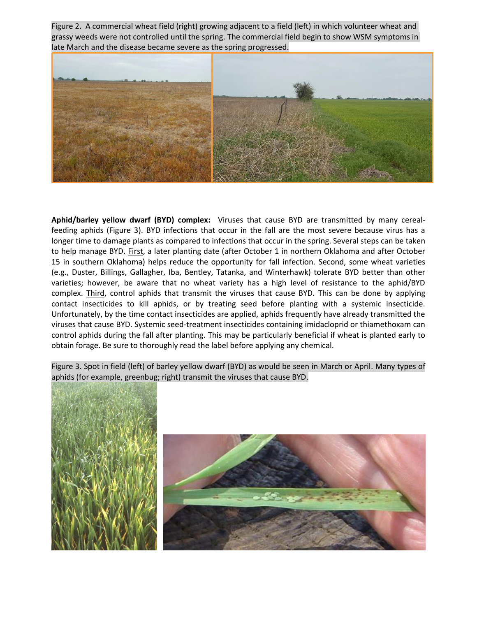Figure 2. A commercial wheat field (right) growing adjacent to a field (left) in which volunteer wheat and grassy weeds were not controlled until the spring. The commercial field begin to show WSM symptoms in late March and the disease became severe as the spring progressed.



**Aphid/barley yellow dwarf (BYD) complex:** Viruses that cause BYD are transmitted by many cerealfeeding aphids (Figure 3). BYD infections that occur in the fall are the most severe because virus has a longer time to damage plants as compared to infections that occur in the spring. Several steps can be taken to help manage BYD. First, a later planting date (after October 1 in northern Oklahoma and after October 15 in southern Oklahoma) helps reduce the opportunity for fall infection. Second, some wheat varieties (e.g., Duster, Billings, Gallagher, Iba, Bentley, Tatanka, and Winterhawk) tolerate BYD better than other varieties; however, be aware that no wheat variety has a high level of resistance to the aphid/BYD complex. Third, control aphids that transmit the viruses that cause BYD. This can be done by applying contact insecticides to kill aphids, or by treating seed before planting with a systemic insecticide. Unfortunately, by the time contact insecticides are applied, aphids frequently have already transmitted the viruses that cause BYD. Systemic seed-treatment insecticides containing imidacloprid or thiamethoxam can control aphids during the fall after planting. This may be particularly beneficial if wheat is planted early to obtain forage. Be sure to thoroughly read the label before applying any chemical.

Figure 3. Spot in field (left) of barley yellow dwarf (BYD) as would be seen in March or April. Many types of aphids (for example, greenbug; right) transmit the viruses that cause BYD.



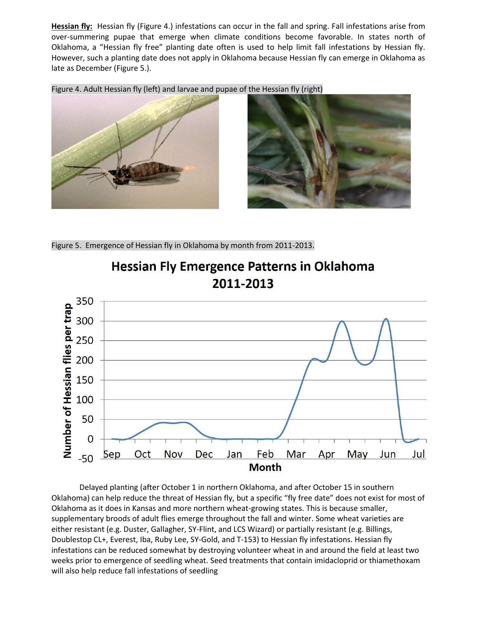**Hessian fly:** Hessian fly (Figure 4.) infestations can occur in the fall and spring. Fall infestations arise from over-summering pupae that emerge when climate conditions become favorable. In states north of Oklahoma, a "Hessian fly free" planting date often is used to help limit fall infestations by Hessian fly. However, such a planting date does not apply in Oklahoma because Hessian fly can emerge in Oklahoma as late as December (Figure 5.).

Figure 4. Adult Hessian fly (left) and larvae and pupae of the Hessian fly (right)





Figure 5. Emergence of Hessian fly in Oklahoma by month from 2011-2013.



**Hessian Fly Emergence Patterns in Oklahoma** 2011-2013

Delayed planting (after October 1 in northern Oklahoma, and after October 15 in southern Oklahoma) can help reduce the threat of Hessian fly, but a specific "fly free date" does not exist for most of Oklahoma as it does in Kansas and more northern wheat-growing states. This is because smaller, supplementary broods of adult flies emerge throughout the fall and winter. Some wheat varieties are either resistant (e.g. Duster, Gallagher, SY-Flint, and LCS Wizard) or partially resistant (e.g. Billings, Doublestop CL+, Everest, Iba, Ruby Lee, SY-Gold, and T-153) to Hessian fly infestations. Hessian fly infestations can be reduced somewhat by destroying volunteer wheat in and around the field at least two weeks prior to emergence of seedling wheat. Seed treatments that contain imidacloprid or thiamethoxam will also help reduce fall infestations of seedling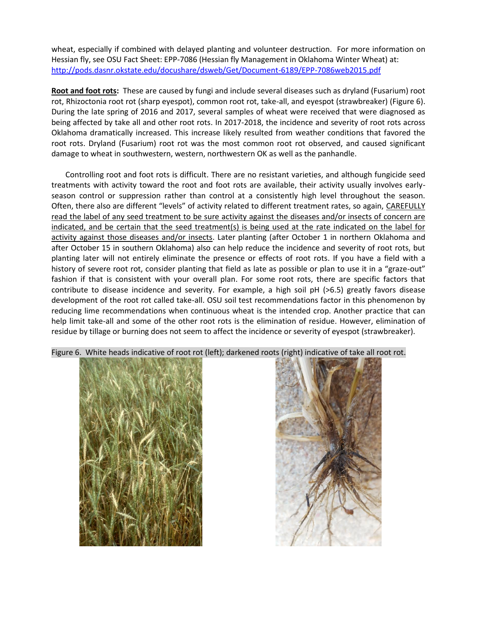wheat, especially if combined with delayed planting and volunteer destruction. For more information on Hessian fly, see OSU Fact Sheet: EPP-7086 (Hessian fly Management in Oklahoma Winter Wheat) at: <http://pods.dasnr.okstate.edu/docushare/dsweb/Get/Document-6189/EPP-7086web2015.pdf>

**Root and foot rots:** These are caused by fungi and include several diseases such as dryland (Fusarium) root rot, Rhizoctonia root rot (sharp eyespot), common root rot, take-all, and eyespot (strawbreaker) (Figure 6). During the late spring of 2016 and 2017, several samples of wheat were received that were diagnosed as being affected by take all and other root rots. In 2017-2018, the incidence and severity of root rots across Oklahoma dramatically increased. This increase likely resulted from weather conditions that favored the root rots. Dryland (Fusarium) root rot was the most common root rot observed, and caused significant damage to wheat in southwestern, western, northwestern OK as well as the panhandle.

Controlling root and foot rots is difficult. There are no resistant varieties, and although fungicide seed treatments with activity toward the root and foot rots are available, their activity usually involves earlyseason control or suppression rather than control at a consistently high level throughout the season. Often, there also are different "levels" of activity related to different treatment rates, so again, CAREFULLY read the label of any seed treatment to be sure activity against the diseases and/or insects of concern are indicated, and be certain that the seed treatment(s) is being used at the rate indicated on the label for activity against those diseases and/or insects. Later planting (after October 1 in northern Oklahoma and after October 15 in southern Oklahoma) also can help reduce the incidence and severity of root rots, but planting later will not entirely eliminate the presence or effects of root rots. If you have a field with a history of severe root rot, consider planting that field as late as possible or plan to use it in a "graze-out" fashion if that is consistent with your overall plan. For some root rots, there are specific factors that contribute to disease incidence and severity. For example, a high soil pH (>6.5) greatly favors disease development of the root rot called take-all. OSU soil test recommendations factor in this phenomenon by reducing lime recommendations when continuous wheat is the intended crop. Another practice that can help limit take-all and some of the other root rots is the elimination of residue. However, elimination of residue by tillage or burning does not seem to affect the incidence or severity of eyespot (strawbreaker).



Figure 6. White heads indicative of root rot (left); darkened roots (right) indicative of take all root rot.